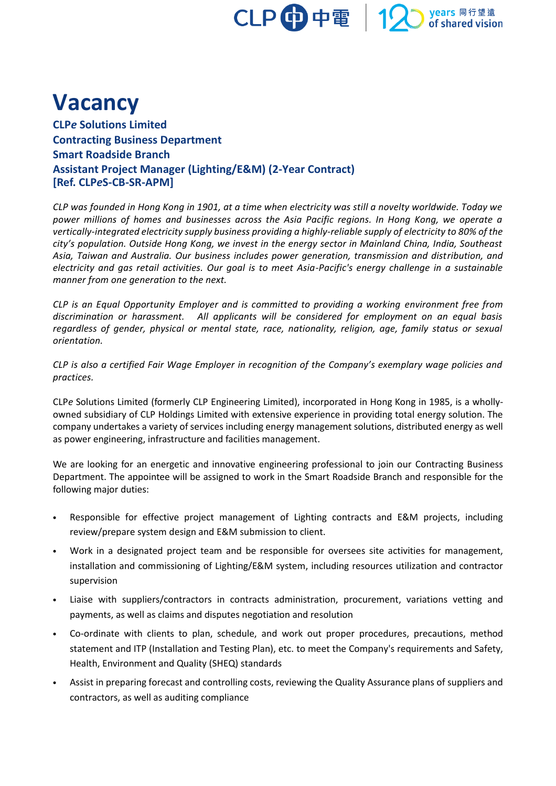

## **Vacancy**

**CLP***e* **Solutions Limited Contracting Business Department Smart Roadside Branch Assistant Project Manager (Lighting/E&M) (2-Year Contract) [Ref. CLP***e***S-CB-SR-APM]**

*CLP was founded in Hong Kong in 1901, at a time when electricity was still a novelty worldwide. Today we power millions of homes and businesses across the Asia Pacific regions. In Hong Kong, we operate a vertically-integrated electricity supply business providing a highly-reliable supply of electricity to 80% of the city's population. Outside Hong Kong, we invest in the energy sector in Mainland China, India, Southeast Asia, Taiwan and Australia. Our business includes power generation, transmission and distribution, and electricity and gas retail activities. Our goal is to meet Asia-Pacific's energy challenge in a sustainable manner from one generation to the next.*

*CLP is an Equal Opportunity Employer and is committed to providing a working environment free from discrimination or harassment. All applicants will be considered for employment on an equal basis regardless of gender, physical or mental state, race, nationality, religion, age, family status or sexual orientation.*

*CLP is also a certified Fair Wage Employer in recognition of the Company's exemplary wage policies and practices.*

CLP*e* Solutions Limited (formerly CLP Engineering Limited), incorporated in Hong Kong in 1985, is a whollyowned subsidiary of CLP Holdings Limited with extensive experience in providing total energy solution. The company undertakes a variety of services including energy management solutions, distributed energy as well as power engineering, infrastructure and facilities management.

We are looking for an energetic and innovative engineering professional to join our Contracting Business Department. The appointee will be assigned to work in the Smart Roadside Branch and responsible for the following major duties:

- Responsible for effective project management of Lighting contracts and E&M projects, including review/prepare system design and E&M submission to client.
- Work in a designated project team and be responsible for oversees site activities for management, installation and commissioning of Lighting/E&M system, including resources utilization and contractor supervision
- Liaise with suppliers/contractors in contracts administration, procurement, variations vetting and payments, as well as claims and disputes negotiation and resolution
- Co-ordinate with clients to plan, schedule, and work out proper procedures, precautions, method statement and ITP (Installation and Testing Plan), etc. to meet the Company's requirements and Safety, Health, Environment and Quality (SHEQ) standards
- Assist in preparing forecast and controlling costs, reviewing the Quality Assurance plans of suppliers and contractors, as well as auditing compliance